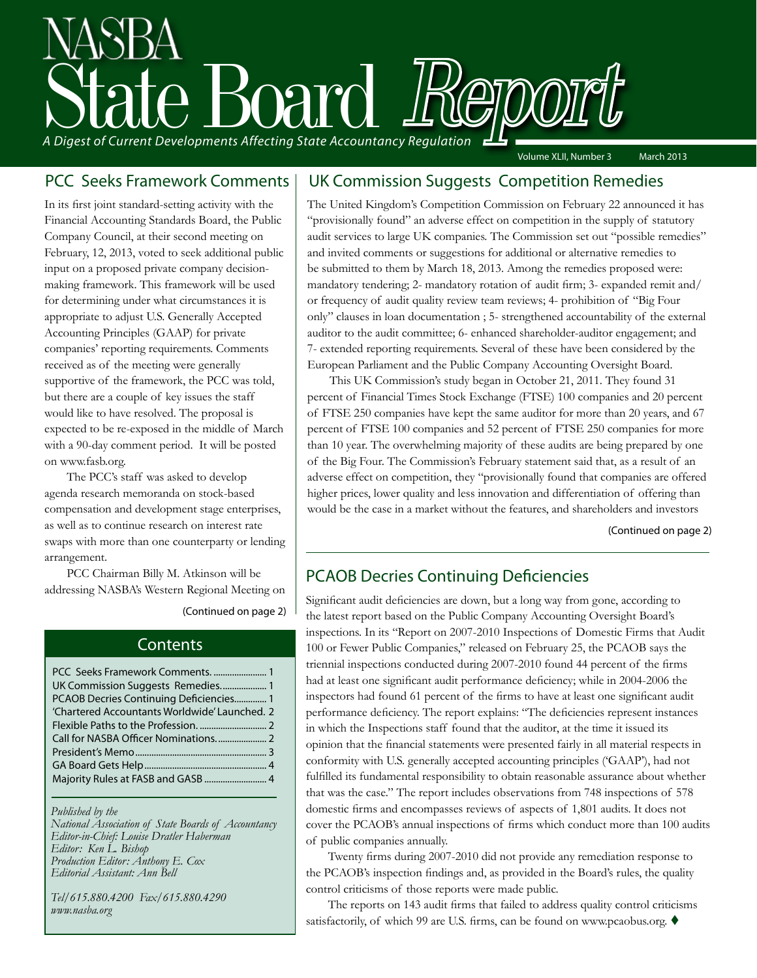# A Digest of Current Developments Affecting State Accountancy Regulation Volume XLII, Number 3 March 2013

PCC Seeks Framework Comments

In its first joint standard-setting activity with the Financial Accounting Standards Board, the Public Company Council, at their second meeting on February, 12, 2013, voted to seek additional public input on a proposed private company decisionmaking framework. This framework will be used for determining under what circumstances it is appropriate to adjust U.S. Generally Accepted Accounting Principles (GAAP) for private companies' reporting requirements. Comments received as of the meeting were generally supportive of the framework, the PCC was told, but there are a couple of key issues the staff would like to have resolved. The proposal is expected to be re-exposed in the middle of March with a 90-day comment period. It will be posted on www.fasb.org.

The PCC's staff was asked to develop agenda research memoranda on stock-based compensation and development stage enterprises, as well as to continue research on interest rate swaps with more than one counterparty or lending arrangement.

PCC Chairman Billy M. Atkinson will be addressing NASBA's Western Regional Meeting on

[\(Continued on page 2\)](#page-1-0)

#### **Contents**

| PCC Seeks Framework Comments.  1              |  |
|-----------------------------------------------|--|
| UK Commission Suggests Remedies 1             |  |
| PCAOB Decries Continuing Deficiencies 1       |  |
| 'Chartered Accountants Worldwide' Launched. 2 |  |
|                                               |  |
|                                               |  |
|                                               |  |
|                                               |  |
| Majority Rules at FASB and GASB  4            |  |
|                                               |  |

*Published by the* 

*National Association of State Boards of Accountancy Editor-in-Chief: Louise Dratler Haberman Editor: Ken L. Bishop Production Editor: Anthony E. Cox Editorial Assistant: Ann Bell* 

*Tel/615.880.4200 Fax/615.880.4290 www.nasba.org*

#### UK Commission Suggests Competition Remedies

The United Kingdom's Competition Commission on February 22 announced it has "provisionally found" an adverse effect on competition in the supply of statutory audit services to large UK companies. The Commission set out "possible remedies" and invited comments or suggestions for additional or alternative remedies to be submitted to them by March 18, 2013. Among the remedies proposed were: mandatory tendering; 2- mandatory rotation of audit firm; 3- expanded remit and/ or frequency of audit quality review team reviews; 4- prohibition of "Big Four only" clauses in loan documentation ; 5- strengthened accountability of the external auditor to the audit committee; 6- enhanced shareholder-auditor engagement; and 7- extended reporting requirements. Several of these have been considered by the European Parliament and the Public Company Accounting Oversight Board.

This UK Commission's study began in October 21, 2011. They found 31 percent of Financial Times Stock Exchange (FTSE) 100 companies and 20 percent of FTSE 250 companies have kept the same auditor for more than 20 years, and 67 percent of FTSE 100 companies and 52 percent of FTSE 250 companies for more than 10 year. The overwhelming majority of these audits are being prepared by one of the Big Four. The Commission's February statement said that, as a result of an adverse effect on competition, they "provisionally found that companies are offered higher prices, lower quality and less innovation and differentiation of offering than would be the case in a market without the features, and shareholders and investors

[\(Continued on page 2\)](#page-1-0)

#### PCAOB Decries Continuing Deficiencies

Significant audit deficiencies are down, but a long way from gone, according to the latest report based on the Public Company Accounting Oversight Board's inspections. In its "Report on 2007-2010 Inspections of Domestic Firms that Audit 100 or Fewer Public Companies," released on February 25, the PCAOB says the triennial inspections conducted during 2007-2010 found 44 percent of the firms had at least one significant audit performance deficiency; while in 2004-2006 the inspectors had found 61 percent of the firms to have at least one significant audit performance deficiency. The report explains: "The deficiencies represent instances in which the Inspections staff found that the auditor, at the time it issued its opinion that the financial statements were presented fairly in all material respects in conformity with U.S. generally accepted accounting principles ('GAAP'), had not fulfilled its fundamental responsibility to obtain reasonable assurance about whether that was the case." The report includes observations from 748 inspections of 578 domestic firms and encompasses reviews of aspects of 1,801 audits. It does not cover the PCAOB's annual inspections of firms which conduct more than 100 audits of public companies annually.

Twenty firms during 2007-2010 did not provide any remediation response to the PCAOB's inspection findings and, as provided in the Board's rules, the quality control criticisms of those reports were made public.

The reports on 143 audit firms that failed to address quality control criticisms satisfactorily, of which 99 are U.S. firms, can be found on www.pcaobus.org.  $\blacklozenge$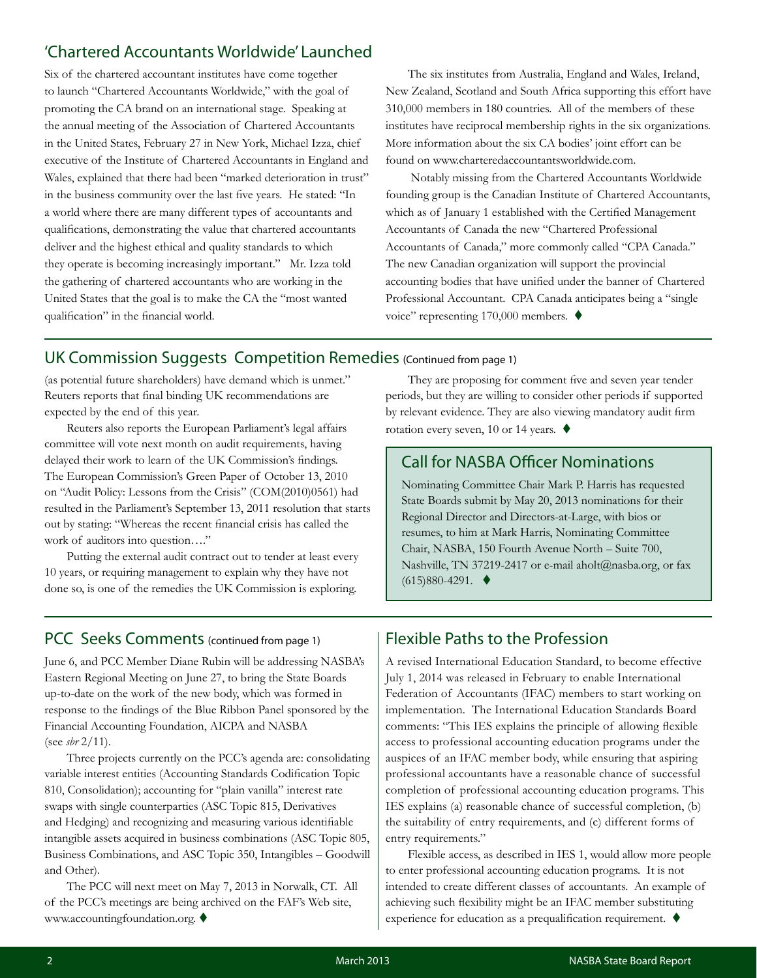#### <span id="page-1-0"></span>'Chartered Accountants Worldwide' Launched

Six of the chartered accountant institutes have come together to launch "Chartered Accountants Worldwide," with the goal of promoting the CA brand on an international stage. Speaking at the annual meeting of the Association of Chartered Accountants in the United States, February 27 in New York, Michael Izza, chief executive of the Institute of Chartered Accountants in England and Wales, explained that there had been "marked deterioration in trust" in the business community over the last five years. He stated: "In a world where there are many different types of accountants and qualifications, demonstrating the value that chartered accountants deliver and the highest ethical and quality standards to which they operate is becoming increasingly important." Mr. Izza told the gathering of chartered accountants who are working in the United States that the goal is to make the CA the "most wanted qualification" in the financial world.

The six institutes from Australia, England and Wales, Ireland, New Zealand, Scotland and South Africa supporting this effort have 310,000 members in 180 countries. All of the members of these institutes have reciprocal membership rights in the six organizations. More information about the six CA bodies' joint effort can be found on www.charteredaccountantsworldwide.com.

 Notably missing from the Chartered Accountants Worldwide founding group is the Canadian Institute of Chartered Accountants, which as of January 1 established with the Certified Management Accountants of Canada the new "Chartered Professional Accountants of Canada," more commonly called "CPA Canada." The new Canadian organization will support the provincial accounting bodies that have unified under the banner of Chartered Professional Accountant. CPA Canada anticipates being a "single voice" representing 170,000 members.  $\blacklozenge$ 

#### UK Commission Suggests Competition Remedies (Continued from page 1)

(as potential future shareholders) have demand which is unmet." Reuters reports that final binding UK recommendations are expected by the end of this year.

Reuters also reports the European Parliament's legal affairs committee will vote next month on audit requirements, having delayed their work to learn of the UK Commission's findings. The European Commission's Green Paper of October 13, 2010 on "Audit Policy: Lessons from the Crisis" (COM(2010)0561) had resulted in the Parliament's September 13, 2011 resolution that starts out by stating: "Whereas the recent financial crisis has called the work of auditors into question…."

Putting the external audit contract out to tender at least every 10 years, or requiring management to explain why they have not done so, is one of the remedies the UK Commission is exploring.

They are proposing for comment five and seven year tender periods, but they are willing to consider other periods if supported by relevant evidence. They are also viewing mandatory audit firm rotation every seven, 10 or 14 years.  $\blacklozenge$ 

#### Call for NASBA Officer Nominations

Nominating Committee Chair Mark P. Harris has requested State Boards submit by May 20, 2013 nominations for their Regional Director and Directors-at-Large, with bios or resumes, to him at Mark Harris, Nominating Committee Chair, NASBA, 150 Fourth Avenue North – Suite 700, Nashville, TN 37219-2417 or e-mail [aholt@nasba.org,](mailto:aholt%40nasba.org?subject=Call%20for%20NASBA%20Officer%20Nominations) or fax  $(615)880 - 4291.$ 

#### PCC Seeks Comments (continued from page 1)

June 6, and PCC Member Diane Rubin will be addressing NASBA's Eastern Regional Meeting on June 27, to bring the State Boards up-to-date on the work of the new body, which was formed in response to the findings of the Blue Ribbon Panel sponsored by the Financial Accounting Foundation, AICPA and NASBA (see *sbr* [2/11\)](http://www.nasba.org/wp-content/blogs.dir/1/files//1/2013/02/FebSBR_2013.pdf).

Three projects currently on the PCC's agenda are: consolidating variable interest entities (Accounting Standards Codification Topic 810, Consolidation); accounting for "plain vanilla" interest rate swaps with single counterparties (ASC Topic 815, Derivatives and Hedging) and recognizing and measuring various identifiable intangible assets acquired in business combinations (ASC Topic 805, Business Combinations, and ASC Topic 350, Intangibles – Goodwill and Other).

The PCC will next meet on May 7, 2013 in Norwalk, CT. All of the PCC's meetings are being archived on the FAF's Web site, [www.accountingfoundation.org.](http://www.accountingfoundation.org)  $\blacklozenge$ 

#### Flexible Paths to the Profession

A revised International Education Standard, to become effective July 1, 2014 was released in February to enable International Federation of Accountants (IFAC) members to start working on implementation. The International Education Standards Board comments: "This IES explains the principle of allowing flexible access to professional accounting education programs under the auspices of an IFAC member body, while ensuring that aspiring professional accountants have a reasonable chance of successful completion of professional accounting education programs. This IES explains (a) reasonable chance of successful completion, (b) the suitability of entry requirements, and (c) different forms of entry requirements."

Flexible access, as described in IES 1, would allow more people to enter professional accounting education programs. It is not intended to create different classes of accountants. An example of achieving such flexibility might be an IFAC member substituting experience for education as a prequalification requirement.  $\blacklozenge$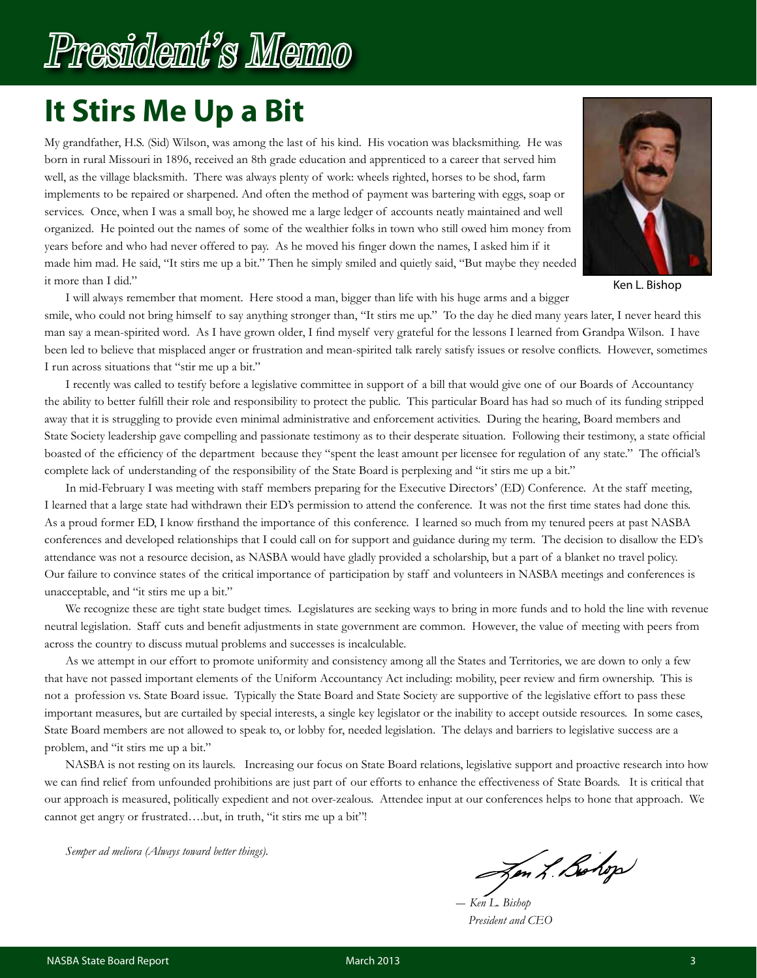## <span id="page-2-0"></span>President's Memo

## **It Stirs Me Up a Bit**

My grandfather, H.S. (Sid) Wilson, was among the last of his kind. His vocation was blacksmithing. He was born in rural Missouri in 1896, received an 8th grade education and apprenticed to a career that served him well, as the village blacksmith. There was always plenty of work: wheels righted, horses to be shod, farm implements to be repaired or sharpened. And often the method of payment was bartering with eggs, soap or services. Once, when I was a small boy, he showed me a large ledger of accounts neatly maintained and well organized. He pointed out the names of some of the wealthier folks in town who still owed him money from years before and who had never offered to pay. As he moved his finger down the names, I asked him if it made him mad. He said, "It stirs me up a bit." Then he simply smiled and quietly said, "But maybe they needed it more than I did."



Ken L. Bishop

I will always remember that moment. Here stood a man, bigger than life with his huge arms and a bigger

smile, who could not bring himself to say anything stronger than, "It stirs me up." To the day he died many years later, I never heard this man say a mean-spirited word. As I have grown older, I find myself very grateful for the lessons I learned from Grandpa Wilson. I have been led to believe that misplaced anger or frustration and mean-spirited talk rarely satisfy issues or resolve conflicts. However, sometimes I run across situations that "stir me up a bit."

I recently was called to testify before a legislative committee in support of a bill that would give one of our Boards of Accountancy the ability to better fulfill their role and responsibility to protect the public. This particular Board has had so much of its funding stripped away that it is struggling to provide even minimal administrative and enforcement activities. During the hearing, Board members and State Society leadership gave compelling and passionate testimony as to their desperate situation. Following their testimony, a state official boasted of the efficiency of the department because they "spent the least amount per licensee for regulation of any state." The official's complete lack of understanding of the responsibility of the State Board is perplexing and "it stirs me up a bit."

In mid-February I was meeting with staff members preparing for the Executive Directors' (ED) Conference. At the staff meeting, I learned that a large state had withdrawn their ED's permission to attend the conference. It was not the first time states had done this. As a proud former ED, I know firsthand the importance of this conference. I learned so much from my tenured peers at past NASBA conferences and developed relationships that I could call on for support and guidance during my term. The decision to disallow the ED's attendance was not a resource decision, as NASBA would have gladly provided a scholarship, but a part of a blanket no travel policy. Our failure to convince states of the critical importance of participation by staff and volunteers in NASBA meetings and conferences is unacceptable, and "it stirs me up a bit."

We recognize these are tight state budget times. Legislatures are seeking ways to bring in more funds and to hold the line with revenue neutral legislation. Staff cuts and benefit adjustments in state government are common. However, the value of meeting with peers from across the country to discuss mutual problems and successes is incalculable.

As we attempt in our effort to promote uniformity and consistency among all the States and Territories, we are down to only a few that have not passed important elements of the Uniform Accountancy Act including: mobility, peer review and firm ownership. This is not a profession vs. State Board issue. Typically the State Board and State Society are supportive of the legislative effort to pass these important measures, but are curtailed by special interests, a single key legislator or the inability to accept outside resources. In some cases, State Board members are not allowed to speak to, or lobby for, needed legislation. The delays and barriers to legislative success are a problem, and "it stirs me up a bit."

NASBA is not resting on its laurels. Increasing our focus on State Board relations, legislative support and proactive research into how we can find relief from unfounded prohibitions are just part of our efforts to enhance the effectiveness of State Boards. It is critical that our approach is measured, politically expedient and not over-zealous. Attendee input at our conferences helps to hone that approach. We cannot get angry or frustrated….but, in truth, "it stirs me up a bit"!

*Semper ad meliora (Always toward better things).*

Jen L. Bolop

*― Ken L. Bishop President and CEO*